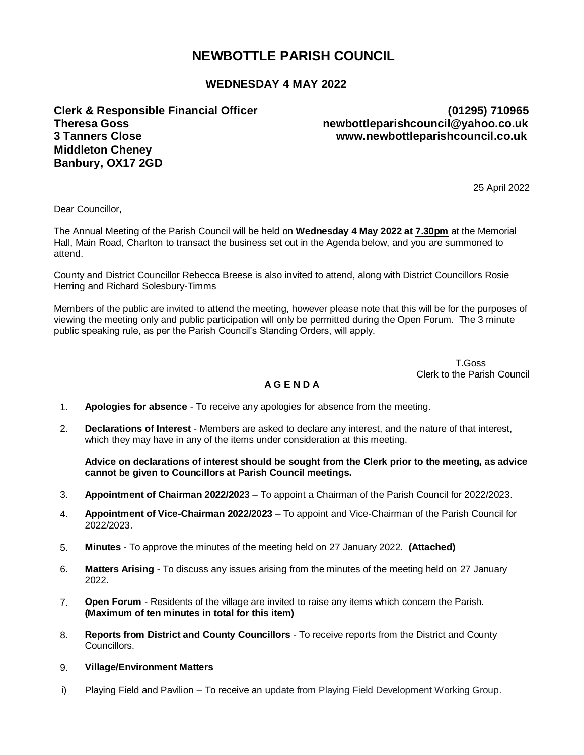# **NEWBOTTLE PARISH COUNCIL**

## **WEDNESDAY 4 MAY 2022**

**Clerk & Responsible Financial Officer (01295) 710965 Theresa Goss newbottleparishcouncil@yahoo.co.uk 3 Tanners Close www.newbottleparishcouncil.co.uk Middleton Cheney Banbury, OX17 2GD**

25 April 2022

Dear Councillor,

The Annual Meeting of the Parish Council will be held on **Wednesday 4 May 2022 at 7.30pm** at the Memorial Hall, Main Road, Charlton to transact the business set out in the Agenda below, and you are summoned to attend.

County and District Councillor Rebecca Breese is also invited to attend, along with District Councillors Rosie Herring and Richard Solesbury-Timms

Members of the public are invited to attend the meeting, however please note that this will be for the purposes of viewing the meeting only and public participation will only be permitted during the Open Forum. The 3 minute public speaking rule, as per the Parish Council's Standing Orders, will apply.

 T.Goss Clerk to the Parish Council

# **A G E N D A**

- 1. **Apologies for absence**  To receive any apologies for absence from the meeting.
- 2. **Declarations of Interest**  Members are asked to declare any interest, and the nature of that interest, which they may have in any of the items under consideration at this meeting.

**Advice on declarations of interest should be sought from the Clerk prior to the meeting, as advice cannot be given to Councillors at Parish Council meetings.**

- 3. **Appointment of Chairman 2022/2023** To appoint a Chairman of the Parish Council for 2022/2023.
- 4. **Appointment of Vice-Chairman 2022/2023** To appoint and Vice-Chairman of the Parish Council for 2022/2023.
- 5. **Minutes**  To approve the minutes of the meeting held on 27 January 2022. **(Attached)**
- 6. **Matters Arising**  To discuss any issues arising from the minutes of the meeting held on 27 January 2022.
- 7. **Open Forum** Residents of the village are invited to raise any items which concern the Parish. **(Maximum of ten minutes in total for this item)**
- 8. **Reports from District and County Councillors** To receive reports from the District and County Councillors.
- 9. **Village/Environment Matters**
- i) Playing Field and Pavilion To receive an update from Playing Field Development Working Group.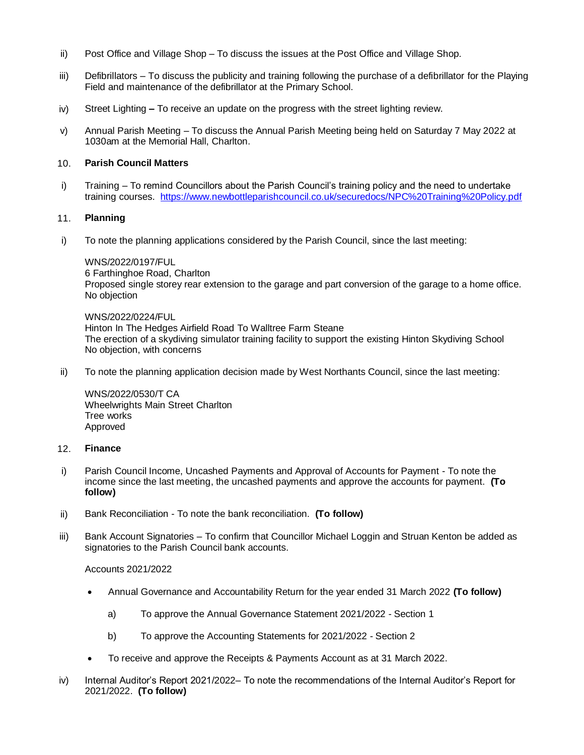- ii) Post Office and Village Shop To discuss the issues at the Post Office and Village Shop.
- iii) Defibrillators To discuss the publicity and training following the purchase of a defibrillator for the Playing Field and maintenance of the defibrillator at the Primary School.
- iv) Street Lighting **–** To receive an update on the progress with the street lighting review.
- v) Annual Parish Meeting To discuss the Annual Parish Meeting being held on Saturday 7 May 2022 at 1030am at the Memorial Hall, Charlton.

#### 10. **Parish Council Matters**

i) Training – To remind Councillors about the Parish Council's training policy and the need to undertake training courses. <https://www.newbottleparishcouncil.co.uk/securedocs/NPC%20Training%20Policy.pdf>

#### 11. **Planning**

i) To note the planning applications considered by the Parish Council, since the last meeting:

#### WNS/2022/0197/FUL

6 Farthinghoe Road, Charlton Proposed single storey rear extension to the garage and part conversion of the garage to a home office. No objection

WNS/2022/0224/FUL Hinton In The Hedges Airfield Road To Walltree Farm Steane The erection of a skydiving simulator training facility to support the existing Hinton Skydiving School No objection, with concerns

ii) To note the planning application decision made by West Northants Council, since the last meeting:

WNS/2022/0530/T CA Wheelwrights Main Street Charlton Tree works Approved

#### 12. **Finance**

- i) Parish Council Income, Uncashed Payments and Approval of Accounts for Payment To note the income since the last meeting, the uncashed payments and approve the accounts for payment. **(To follow)**
- ii) Bank Reconciliation To note the bank reconciliation. **(To follow)**
- iii) Bank Account Signatories To confirm that Councillor Michael Loggin and Struan Kenton be added as signatories to the Parish Council bank accounts.

#### Accounts 2021/2022

- Annual Governance and Accountability Return for the year ended 31 March 2022 **(To follow)**
	- a) To approve the Annual Governance Statement 2021/2022 Section 1
	- b) To approve the Accounting Statements for 2021/2022 Section 2
- To receive and approve the Receipts & Payments Account as at 31 March 2022.
- iv) Internal Auditor's Report 2021/2022– To note the recommendations of the Internal Auditor's Report for 2021/2022. **(To follow)**